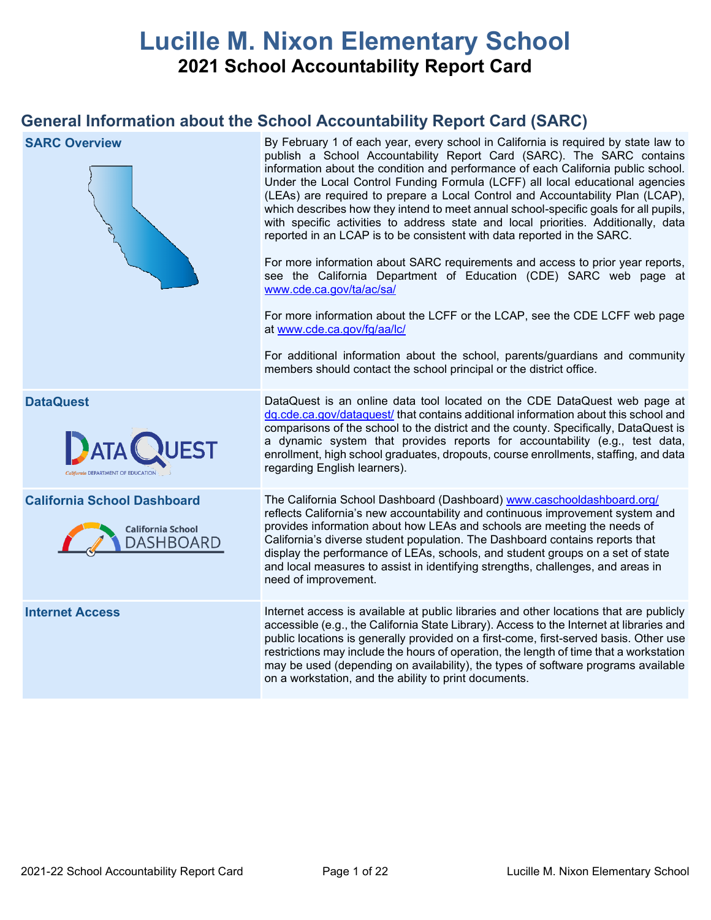# **Lucille M. Nixon Elementary School 2021 School Accountability Report Card**

## **General Information about the School Accountability Report Card (SARC)**

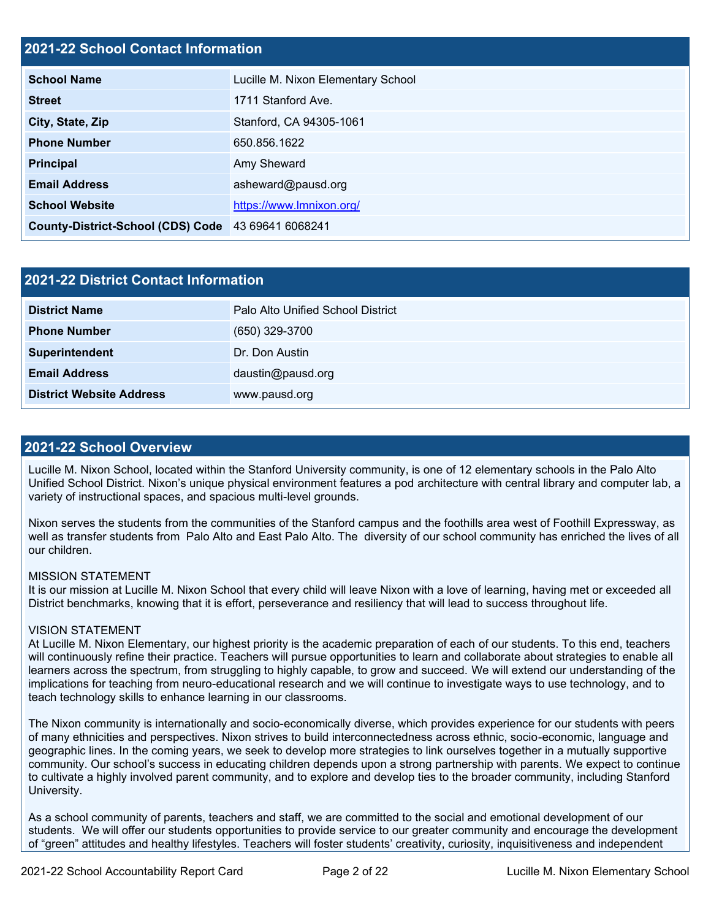### **2021-22 School Contact Information**

| <b>School Name</b>                       | Lucille M. Nixon Elementary School |
|------------------------------------------|------------------------------------|
| <b>Street</b>                            | 1711 Stanford Ave.                 |
| City, State, Zip                         | Stanford, CA 94305-1061            |
| <b>Phone Number</b>                      | 650.856.1622                       |
| <b>Principal</b>                         | Amy Sheward                        |
| <b>Email Address</b>                     | asheward@pausd.org                 |
| <b>School Website</b>                    | https://www.lmnixon.org/           |
| <b>County-District-School (CDS) Code</b> | 43 69641 6068241                   |

| 2021-22 District Contact Information |                                   |  |  |  |  |
|--------------------------------------|-----------------------------------|--|--|--|--|
| <b>District Name</b>                 | Palo Alto Unified School District |  |  |  |  |
| <b>Phone Number</b>                  | $(650)$ 329-3700                  |  |  |  |  |
| Superintendent                       | Dr. Don Austin                    |  |  |  |  |
| <b>Email Address</b>                 | daustin@pausd.org                 |  |  |  |  |
| <b>District Website Address</b>      | www.pausd.org                     |  |  |  |  |

### **2021-22 School Overview**

Lucille M. Nixon School, located within the Stanford University community, is one of 12 elementary schools in the Palo Alto Unified School District. Nixon's unique physical environment features a pod architecture with central library and computer lab, a variety of instructional spaces, and spacious multi-level grounds.

Nixon serves the students from the communities of the Stanford campus and the foothills area west of Foothill Expressway, as well as transfer students from Palo Alto and East Palo Alto. The diversity of our school community has enriched the lives of all our children.

### MISSION STATEMENT

It is our mission at Lucille M. Nixon School that every child will leave Nixon with a love of learning, having met or exceeded all District benchmarks, knowing that it is effort, perseverance and resiliency that will lead to success throughout life.

### VISION STATEMENT

At Lucille M. Nixon Elementary, our highest priority is the academic preparation of each of our students. To this end, teachers will continuously refine their practice. Teachers will pursue opportunities to learn and collaborate about strategies to enable all learners across the spectrum, from struggling to highly capable, to grow and succeed. We will extend our understanding of the implications for teaching from neuro-educational research and we will continue to investigate ways to use technology, and to teach technology skills to enhance learning in our classrooms.

The Nixon community is internationally and socio-economically diverse, which provides experience for our students with peers of many ethnicities and perspectives. Nixon strives to build interconnectedness across ethnic, socio-economic, language and geographic lines. In the coming years, we seek to develop more strategies to link ourselves together in a mutually supportive community. Our school's success in educating children depends upon a strong partnership with parents. We expect to continue to cultivate a highly involved parent community, and to explore and develop ties to the broader community, including Stanford University.

As a school community of parents, teachers and staff, we are committed to the social and emotional development of our students. We will offer our students opportunities to provide service to our greater community and encourage the development of "green" attitudes and healthy lifestyles. Teachers will foster students' creativity, curiosity, inquisitiveness and independent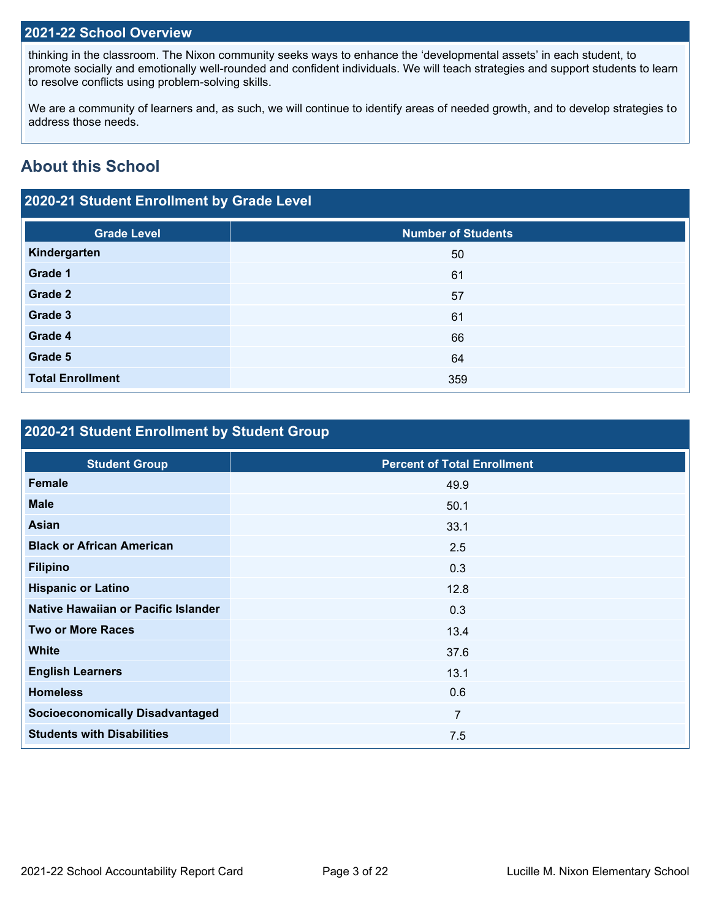### **2021-22 School Overview**

thinking in the classroom. The Nixon community seeks ways to enhance the 'developmental assets' in each student, to promote socially and emotionally well-rounded and confident individuals. We will teach strategies and support students to learn to resolve conflicts using problem-solving skills.

We are a community of learners and, as such, we will continue to identify areas of needed growth, and to develop strategies to address those needs.

## **About this School**

## **2020-21 Student Enrollment by Grade Level**

| <b>Grade Level</b>      | <b>Number of Students</b> |
|-------------------------|---------------------------|
| Kindergarten            | 50                        |
| Grade 1                 | 61                        |
| Grade 2                 | 57                        |
| Grade 3                 | 61                        |
| Grade 4                 | 66                        |
| Grade 5                 | 64                        |
| <b>Total Enrollment</b> | 359                       |

## **2020-21 Student Enrollment by Student Group**

| <b>Percent of Total Enrollment</b> |
|------------------------------------|
| 49.9                               |
| 50.1                               |
| 33.1                               |
| 2.5                                |
| 0.3                                |
| 12.8                               |
| 0.3                                |
| 13.4                               |
| 37.6                               |
| 13.1                               |
| 0.6                                |
| $\overline{7}$                     |
| 7.5                                |
|                                    |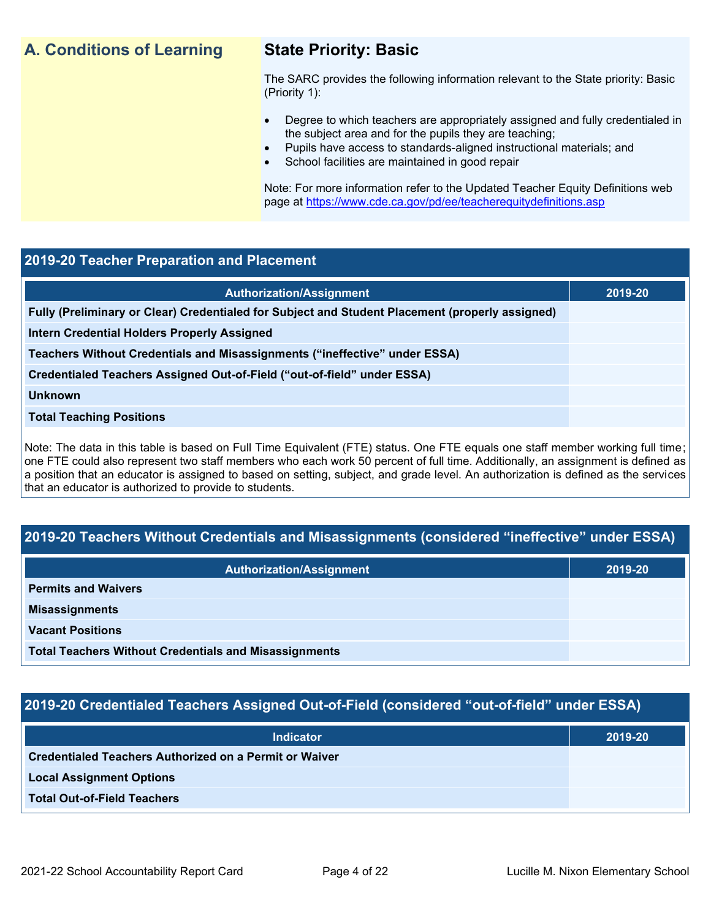## **A. Conditions of Learning State Priority: Basic**

The SARC provides the following information relevant to the State priority: Basic (Priority 1):

- Degree to which teachers are appropriately assigned and fully credentialed in the subject area and for the pupils they are teaching;
	- Pupils have access to standards-aligned instructional materials; and
- School facilities are maintained in good repair

Note: For more information refer to the Updated Teacher Equity Definitions web page at<https://www.cde.ca.gov/pd/ee/teacherequitydefinitions.asp>

### **2019-20 Teacher Preparation and Placement**

| <b>Authorization/Assignment</b>                                                                 | 2019-20 |
|-------------------------------------------------------------------------------------------------|---------|
| Fully (Preliminary or Clear) Credentialed for Subject and Student Placement (properly assigned) |         |
| Intern Credential Holders Properly Assigned                                                     |         |
| Teachers Without Credentials and Misassignments ("ineffective" under ESSA)                      |         |
| Credentialed Teachers Assigned Out-of-Field ("out-of-field" under ESSA)                         |         |
| <b>Unknown</b>                                                                                  |         |
| <b>Total Teaching Positions</b>                                                                 |         |
|                                                                                                 |         |

Note: The data in this table is based on Full Time Equivalent (FTE) status. One FTE equals one staff member working full time; one FTE could also represent two staff members who each work 50 percent of full time. Additionally, an assignment is defined as a position that an educator is assigned to based on setting, subject, and grade level. An authorization is defined as the services that an educator is authorized to provide to students.

### **2019-20 Teachers Without Credentials and Misassignments (considered "ineffective" under ESSA)**

| <b>Authorization/Assignment</b>                              | 2019-20 |
|--------------------------------------------------------------|---------|
| <b>Permits and Waivers</b>                                   |         |
| <b>Misassignments</b>                                        |         |
| <b>Vacant Positions</b>                                      |         |
| <b>Total Teachers Without Credentials and Misassignments</b> |         |

### **2019-20 Credentialed Teachers Assigned Out-of-Field (considered "out-of-field" under ESSA)**

| <b>Indicator</b>                                       | 2019-20 |
|--------------------------------------------------------|---------|
| Credentialed Teachers Authorized on a Permit or Waiver |         |
| <b>Local Assignment Options</b>                        |         |
| <b>Total Out-of-Field Teachers</b>                     |         |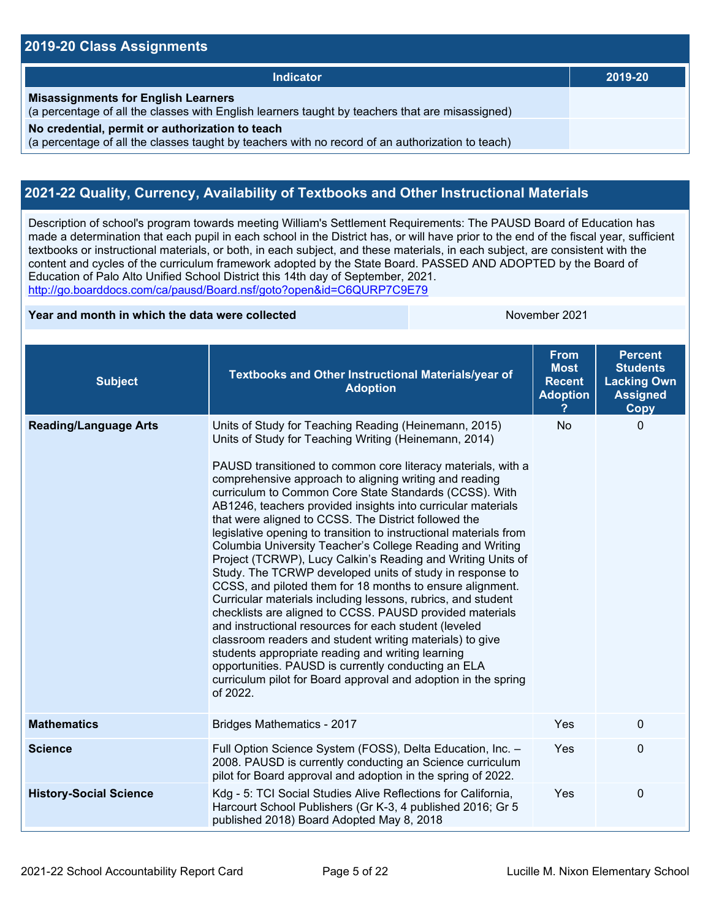### **2019-20 Class Assignments**

| Indicator                                                                                                                                           | 2019-20 |
|-----------------------------------------------------------------------------------------------------------------------------------------------------|---------|
| <b>Misassignments for English Learners</b><br>(a percentage of all the classes with English learners taught by teachers that are misassigned)       |         |
| No credential, permit or authorization to teach<br>(a percentage of all the classes taught by teachers with no record of an authorization to teach) |         |

## **2021-22 Quality, Currency, Availability of Textbooks and Other Instructional Materials**

Description of school's program towards meeting William's Settlement Requirements: The PAUSD Board of Education has made a determination that each pupil in each school in the District has, or will have prior to the end of the fiscal year, sufficient textbooks or instructional materials, or both, in each subject, and these materials, in each subject, are consistent with the content and cycles of the curriculum framework adopted by the State Board. PASSED AND ADOPTED by the Board of Education of Palo Alto Unified School District this 14th day of September, 2021. <http://go.boarddocs.com/ca/pausd/Board.nsf/goto?open&id=C6QURP7C9E79>

### **Year and month in which the data were collected** November 2021

| <b>Subject</b>                | Textbooks and Other Instructional Materials/year of<br><b>Adoption</b>                                                                                                                                                                                                                                                                                                                                                                                                                                                                                                                                                                                                                                                                                                                                                                                                                                                                                                                                                                                                                                                                                                                          | <b>From</b><br><b>Most</b><br><b>Recent</b><br><b>Adoption</b> | <b>Percent</b><br><b>Students</b><br><b>Lacking Own</b><br><b>Assigned</b><br>Copy |
|-------------------------------|-------------------------------------------------------------------------------------------------------------------------------------------------------------------------------------------------------------------------------------------------------------------------------------------------------------------------------------------------------------------------------------------------------------------------------------------------------------------------------------------------------------------------------------------------------------------------------------------------------------------------------------------------------------------------------------------------------------------------------------------------------------------------------------------------------------------------------------------------------------------------------------------------------------------------------------------------------------------------------------------------------------------------------------------------------------------------------------------------------------------------------------------------------------------------------------------------|----------------------------------------------------------------|------------------------------------------------------------------------------------|
| <b>Reading/Language Arts</b>  | Units of Study for Teaching Reading (Heinemann, 2015)<br>Units of Study for Teaching Writing (Heinemann, 2014)<br>PAUSD transitioned to common core literacy materials, with a<br>comprehensive approach to aligning writing and reading<br>curriculum to Common Core State Standards (CCSS). With<br>AB1246, teachers provided insights into curricular materials<br>that were aligned to CCSS. The District followed the<br>legislative opening to transition to instructional materials from<br>Columbia University Teacher's College Reading and Writing<br>Project (TCRWP), Lucy Calkin's Reading and Writing Units of<br>Study. The TCRWP developed units of study in response to<br>CCSS, and piloted them for 18 months to ensure alignment.<br>Curricular materials including lessons, rubrics, and student<br>checklists are aligned to CCSS. PAUSD provided materials<br>and instructional resources for each student (leveled<br>classroom readers and student writing materials) to give<br>students appropriate reading and writing learning<br>opportunities. PAUSD is currently conducting an ELA<br>curriculum pilot for Board approval and adoption in the spring<br>of 2022. | No                                                             | $\mathbf 0$                                                                        |
| <b>Mathematics</b>            | <b>Bridges Mathematics - 2017</b>                                                                                                                                                                                                                                                                                                                                                                                                                                                                                                                                                                                                                                                                                                                                                                                                                                                                                                                                                                                                                                                                                                                                                               | Yes                                                            | $\mathbf 0$                                                                        |
| <b>Science</b>                | Full Option Science System (FOSS), Delta Education, Inc. -<br>2008. PAUSD is currently conducting an Science curriculum<br>pilot for Board approval and adoption in the spring of 2022.                                                                                                                                                                                                                                                                                                                                                                                                                                                                                                                                                                                                                                                                                                                                                                                                                                                                                                                                                                                                         | Yes                                                            | $\mathbf 0$                                                                        |
| <b>History-Social Science</b> | Kdg - 5: TCI Social Studies Alive Reflections for California,<br>Harcourt School Publishers (Gr K-3, 4 published 2016; Gr 5<br>published 2018) Board Adopted May 8, 2018                                                                                                                                                                                                                                                                                                                                                                                                                                                                                                                                                                                                                                                                                                                                                                                                                                                                                                                                                                                                                        | Yes                                                            | 0                                                                                  |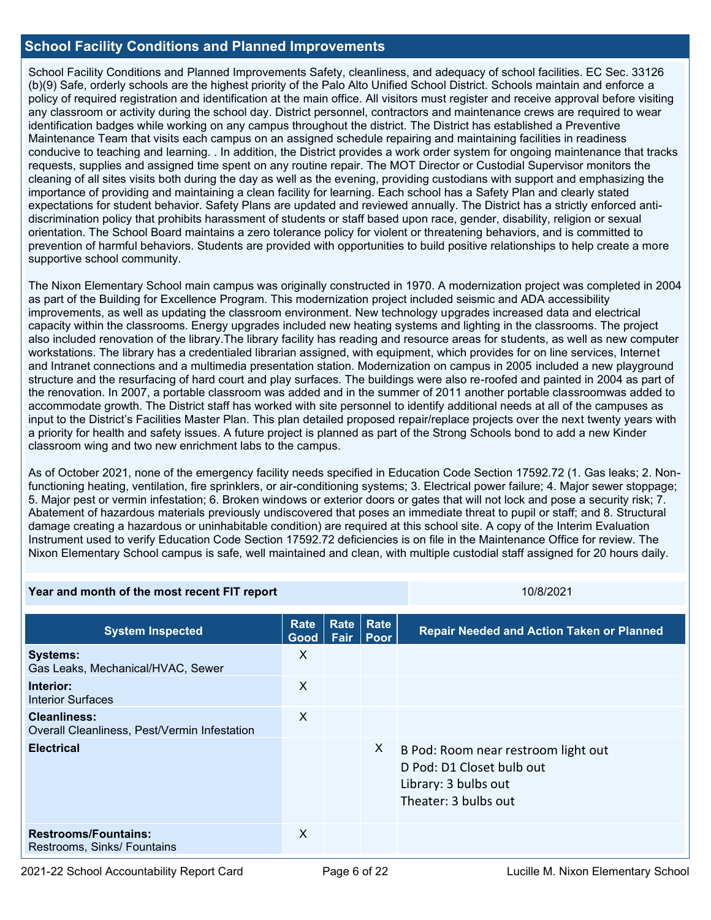### **School Facility Conditions and Planned Improvements**

School Facility Conditions and Planned Improvements Safety, cleanliness, and adequacy of school facilities. EC Sec. 33126 (b)(9) Safe, orderly schools are the highest priority of the Palo Alto Unified School District. Schools maintain and enforce a policy of required registration and identification at the main office. All visitors must register and receive approval before visiting any classroom or activity during the school day. District personnel, contractors and maintenance crews are required to wear identification badges while working on any campus throughout the district. The District has established a Preventive Maintenance Team that visits each campus on an assigned schedule repairing and maintaining facilities in readiness conducive to teaching and learning. . In addition, the District provides a work order system for ongoing maintenance that tracks requests, supplies and assigned time spent on any routine repair. The MOT Director or Custodial Supervisor monitors the cleaning of all sites visits both during the day as well as the evening, providing custodians with support and emphasizing the importance of providing and maintaining a clean facility for learning. Each school has a Safety Plan and clearly stated expectations for student behavior. Safety Plans are updated and reviewed annually. The District has a strictly enforced antidiscrimination policy that prohibits harassment of students or staff based upon race, gender, disability, religion or sexual orientation. The School Board maintains a zero tolerance policy for violent or threatening behaviors, and is committed to prevention of harmful behaviors. Students are provided with opportunities to build positive relationships to help create a more supportive school community.

The Nixon Elementary School main campus was originally constructed in 1970. A modernization project was completed in 2004 as part of the Building for Excellence Program. This modernization project included seismic and ADA accessibility improvements, as well as updating the classroom environment. New technology upgrades increased data and electrical capacity within the classrooms. Energy upgrades included new heating systems and lighting in the classrooms. The project also included renovation of the library.The library facility has reading and resource areas for students, as well as new computer workstations. The library has a credentialed librarian assigned, with equipment, which provides for on line services, Internet and Intranet connections and a multimedia presentation station. Modernization on campus in 2005 included a new playground structure and the resurfacing of hard court and play surfaces. The buildings were also re-roofed and painted in 2004 as part of the renovation. In 2007, a portable classroom was added and in the summer of 2011 another portable classroomwas added to accommodate growth. The District staff has worked with site personnel to identify additional needs at all of the campuses as input to the District's Facilities Master Plan. This plan detailed proposed repair/replace projects over the next twenty years with a priority for health and safety issues. A future project is planned as part of the Strong Schools bond to add a new Kinder classroom wing and two new enrichment labs to the campus.

As of October 2021, none of the emergency facility needs specified in Education Code Section 17592.72 (1. Gas leaks; 2. Nonfunctioning heating, ventilation, fire sprinklers, or air-conditioning systems; 3. Electrical power failure; 4. Major sewer stoppage; 5. Major pest or vermin infestation; 6. Broken windows or exterior doors or gates that will not lock and pose a security risk; 7. Abatement of hazardous materials previously undiscovered that poses an immediate threat to pupil or staff; and 8. Structural damage creating a hazardous or uninhabitable condition) are required at this school site. A copy of the Interim Evaluation Instrument used to verify Education Code Section 17592.72 deficiencies is on file in the Maintenance Office for review. The Nixon Elementary School campus is safe, well maintained and clean, with multiple custodial staff assigned for 20 hours daily.

| Year and month of the most recent FIT report                 |              |              | 10/8/2021    |                                                                                                                  |  |
|--------------------------------------------------------------|--------------|--------------|--------------|------------------------------------------------------------------------------------------------------------------|--|
| <b>System Inspected</b>                                      | Rate<br>Good | Rate<br>Fair | Rate<br>Poor | <b>Repair Needed and Action Taken or Planned</b>                                                                 |  |
| <b>Systems:</b><br>Gas Leaks, Mechanical/HVAC, Sewer         | X            |              |              |                                                                                                                  |  |
| Interior:<br><b>Interior Surfaces</b>                        | X            |              |              |                                                                                                                  |  |
| Cleanliness:<br>Overall Cleanliness, Pest/Vermin Infestation | X            |              |              |                                                                                                                  |  |
| <b>Electrical</b>                                            |              |              | X.           | B Pod: Room near restroom light out<br>D Pod: D1 Closet bulb out<br>Library: 3 bulbs out<br>Theater: 3 bulbs out |  |
| <b>Restrooms/Fountains:</b><br>Restrooms, Sinks/ Fountains   | X            |              |              |                                                                                                                  |  |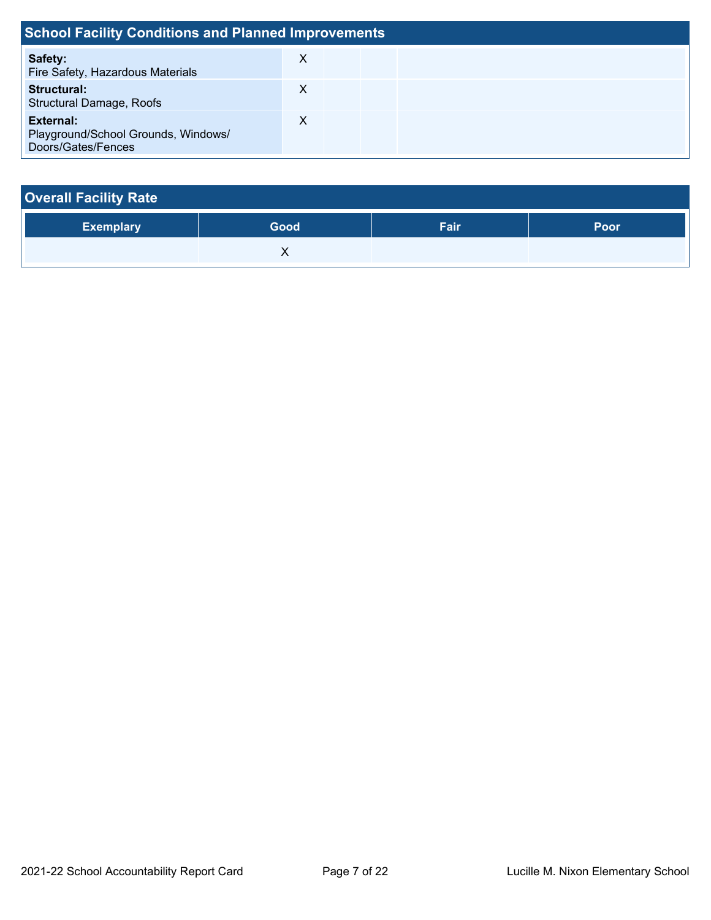| <b>School Facility Conditions and Planned Improvements</b>             |   |  |  |  |  |  |
|------------------------------------------------------------------------|---|--|--|--|--|--|
| Safety:<br>Fire Safety, Hazardous Materials                            | X |  |  |  |  |  |
| <b>Structural:</b><br><b>Structural Damage, Roofs</b>                  | Х |  |  |  |  |  |
| External:<br>Playground/School Grounds, Windows/<br>Doors/Gates/Fences | X |  |  |  |  |  |

| <b>Overall Facility Rate</b> |      |      |      |  |  |  |  |
|------------------------------|------|------|------|--|--|--|--|
| <b>Exemplary</b>             | Good | Fair | Poor |  |  |  |  |
|                              |      |      |      |  |  |  |  |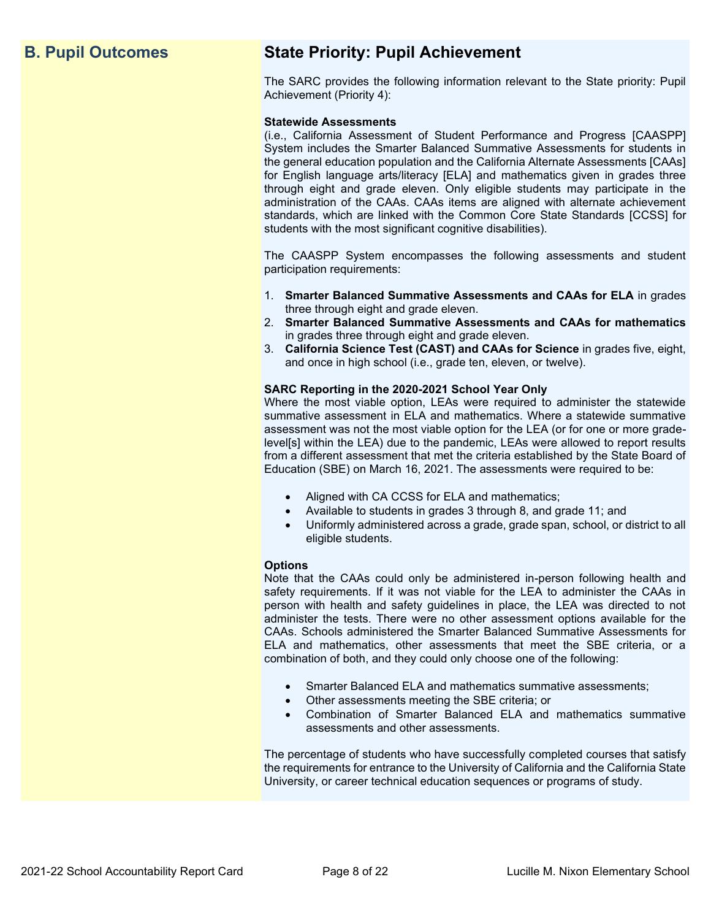## **B. Pupil Outcomes State Priority: Pupil Achievement**

The SARC provides the following information relevant to the State priority: Pupil Achievement (Priority 4):

### **Statewide Assessments**

(i.e., California Assessment of Student Performance and Progress [CAASPP] System includes the Smarter Balanced Summative Assessments for students in the general education population and the California Alternate Assessments [CAAs] for English language arts/literacy [ELA] and mathematics given in grades three through eight and grade eleven. Only eligible students may participate in the administration of the CAAs. CAAs items are aligned with alternate achievement standards, which are linked with the Common Core State Standards [CCSS] for students with the most significant cognitive disabilities).

The CAASPP System encompasses the following assessments and student participation requirements:

- 1. **Smarter Balanced Summative Assessments and CAAs for ELA** in grades three through eight and grade eleven.
- 2. **Smarter Balanced Summative Assessments and CAAs for mathematics** in grades three through eight and grade eleven.
- 3. **California Science Test (CAST) and CAAs for Science** in grades five, eight, and once in high school (i.e., grade ten, eleven, or twelve).

### **SARC Reporting in the 2020-2021 School Year Only**

Where the most viable option, LEAs were required to administer the statewide summative assessment in ELA and mathematics. Where a statewide summative assessment was not the most viable option for the LEA (or for one or more gradelevel[s] within the LEA) due to the pandemic, LEAs were allowed to report results from a different assessment that met the criteria established by the State Board of Education (SBE) on March 16, 2021. The assessments were required to be:

- Aligned with CA CCSS for ELA and mathematics;
- Available to students in grades 3 through 8, and grade 11; and
- Uniformly administered across a grade, grade span, school, or district to all eligible students.

### **Options**

Note that the CAAs could only be administered in-person following health and safety requirements. If it was not viable for the LEA to administer the CAAs in person with health and safety guidelines in place, the LEA was directed to not administer the tests. There were no other assessment options available for the CAAs. Schools administered the Smarter Balanced Summative Assessments for ELA and mathematics, other assessments that meet the SBE criteria, or a combination of both, and they could only choose one of the following:

- Smarter Balanced ELA and mathematics summative assessments;
- Other assessments meeting the SBE criteria; or
- Combination of Smarter Balanced ELA and mathematics summative assessments and other assessments.

The percentage of students who have successfully completed courses that satisfy the requirements for entrance to the University of California and the California State University, or career technical education sequences or programs of study.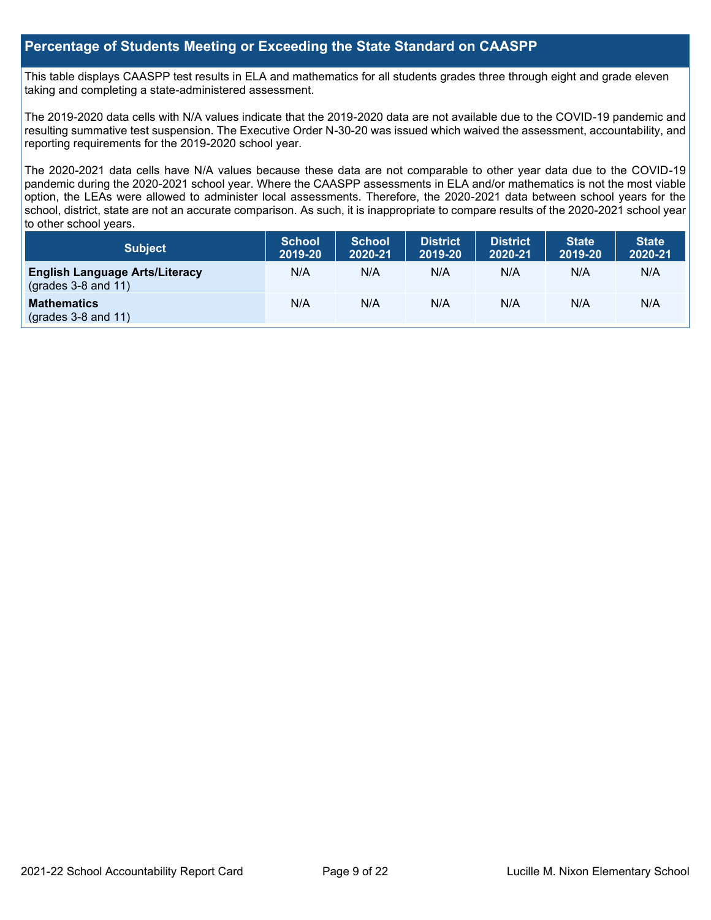### **Percentage of Students Meeting or Exceeding the State Standard on CAASPP**

This table displays CAASPP test results in ELA and mathematics for all students grades three through eight and grade eleven taking and completing a state-administered assessment.

The 2019-2020 data cells with N/A values indicate that the 2019-2020 data are not available due to the COVID-19 pandemic and resulting summative test suspension. The Executive Order N-30-20 was issued which waived the assessment, accountability, and reporting requirements for the 2019-2020 school year.

The 2020-2021 data cells have N/A values because these data are not comparable to other year data due to the COVID-19 pandemic during the 2020-2021 school year. Where the CAASPP assessments in ELA and/or mathematics is not the most viable option, the LEAs were allowed to administer local assessments. Therefore, the 2020-2021 data between school years for the school, district, state are not an accurate comparison. As such, it is inappropriate to compare results of the 2020-2021 school year to other school years.

| Subject                                                              | <b>School</b><br>2019-20 | <b>School</b><br>2020-21 | <b>District</b><br>2019-20 | <b>District</b><br>2020-21 | <b>State</b><br>2019-20 | <b>State</b><br>2020-21 |
|----------------------------------------------------------------------|--------------------------|--------------------------|----------------------------|----------------------------|-------------------------|-------------------------|
| <b>English Language Arts/Literacy</b><br>$\left($ grades 3-8 and 11) | N/A                      | N/A                      | N/A                        | N/A                        | N/A                     | N/A                     |
| <b>Mathematics</b><br>$(grades 3-8 and 11)$                          | N/A                      | N/A                      | N/A                        | N/A                        | N/A                     | N/A                     |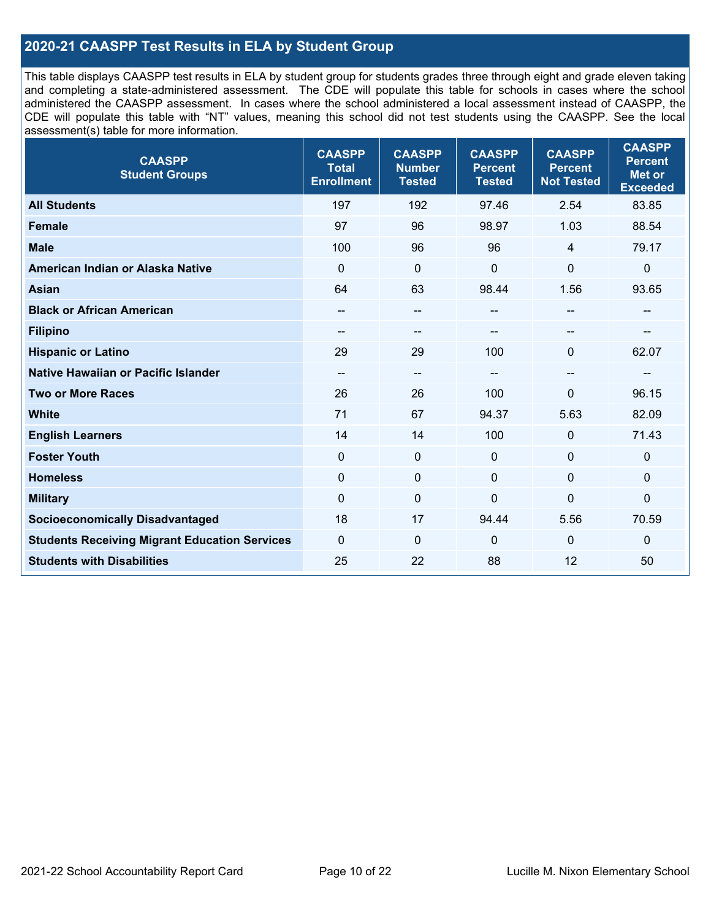### **2020-21 CAASPP Test Results in ELA by Student Group**

This table displays CAASPP test results in ELA by student group for students grades three through eight and grade eleven taking and completing a state-administered assessment. The CDE will populate this table for schools in cases where the school administered the CAASPP assessment. In cases where the school administered a local assessment instead of CAASPP, the CDE will populate this table with "NT" values, meaning this school did not test students using the CAASPP. See the local assessment(s) table for more information.

| <b>CAASPP</b><br><b>Student Groups</b>               | <b>CAASPP</b><br><b>Total</b><br><b>Enrollment</b> | <b>CAASPP</b><br><b>Number</b><br><b>Tested</b> | <b>CAASPP</b><br><b>Percent</b><br><b>Tested</b> | <b>CAASPP</b><br><b>Percent</b><br><b>Not Tested</b> | <b>CAASPP</b><br><b>Percent</b><br><b>Met or</b><br><b>Exceeded</b> |
|------------------------------------------------------|----------------------------------------------------|-------------------------------------------------|--------------------------------------------------|------------------------------------------------------|---------------------------------------------------------------------|
| <b>All Students</b>                                  | 197                                                | 192                                             | 97.46                                            | 2.54                                                 | 83.85                                                               |
| <b>Female</b>                                        | 97                                                 | 96                                              | 98.97                                            | 1.03                                                 | 88.54                                                               |
| <b>Male</b>                                          | 100                                                | 96                                              | 96                                               | $\overline{4}$                                       | 79.17                                                               |
| American Indian or Alaska Native                     | $\Omega$                                           | $\mathbf 0$                                     | 0                                                | 0                                                    | $\mathbf 0$                                                         |
| <b>Asian</b>                                         | 64                                                 | 63                                              | 98.44                                            | 1.56                                                 | 93.65                                                               |
| <b>Black or African American</b>                     | --                                                 | --                                              | $-$                                              | $\overline{\phantom{m}}$                             | --                                                                  |
| <b>Filipino</b>                                      | $- -$                                              | $\sim$                                          |                                                  |                                                      |                                                                     |
| <b>Hispanic or Latino</b>                            | 29                                                 | 29                                              | 100                                              | $\mathbf{0}$                                         | 62.07                                                               |
| <b>Native Hawaiian or Pacific Islander</b>           | --                                                 | $\overline{\phantom{m}}$                        | --                                               | --                                                   | --                                                                  |
| <b>Two or More Races</b>                             | 26                                                 | 26                                              | 100                                              | 0                                                    | 96.15                                                               |
| <b>White</b>                                         | 71                                                 | 67                                              | 94.37                                            | 5.63                                                 | 82.09                                                               |
| <b>English Learners</b>                              | 14                                                 | 14                                              | 100                                              | $\mathbf{0}$                                         | 71.43                                                               |
| <b>Foster Youth</b>                                  | $\mathbf{0}$                                       | $\mathbf 0$                                     | $\mathbf 0$                                      | $\mathbf{0}$                                         | $\mathbf 0$                                                         |
| <b>Homeless</b>                                      | $\mathbf 0$                                        | $\pmb{0}$                                       | $\mathbf{0}$                                     | $\mathbf{0}$                                         | $\mathbf 0$                                                         |
| <b>Military</b>                                      | $\mathbf 0$                                        | $\pmb{0}$                                       | 0                                                | 0                                                    | 0                                                                   |
| <b>Socioeconomically Disadvantaged</b>               | 18                                                 | 17                                              | 94.44                                            | 5.56                                                 | 70.59                                                               |
| <b>Students Receiving Migrant Education Services</b> | $\Omega$                                           | $\mathbf 0$                                     | 0                                                | $\Omega$                                             | $\mathbf 0$                                                         |
| <b>Students with Disabilities</b>                    | 25                                                 | 22                                              | 88                                               | 12                                                   | 50                                                                  |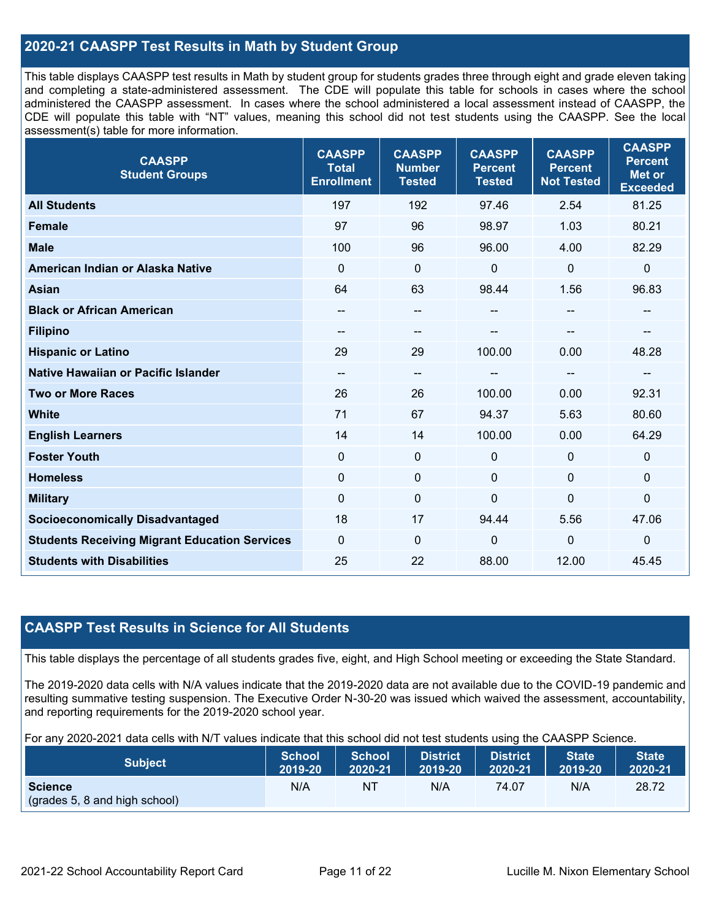### **2020-21 CAASPP Test Results in Math by Student Group**

This table displays CAASPP test results in Math by student group for students grades three through eight and grade eleven taking and completing a state-administered assessment. The CDE will populate this table for schools in cases where the school administered the CAASPP assessment. In cases where the school administered a local assessment instead of CAASPP, the CDE will populate this table with "NT" values, meaning this school did not test students using the CAASPP. See the local assessment(s) table for more information.

| <b>CAASPP</b><br><b>Student Groups</b>               | <b>CAASPP</b><br><b>Total</b><br><b>Enrollment</b> | <b>CAASPP</b><br><b>Number</b><br><b>Tested</b> | <b>CAASPP</b><br><b>Percent</b><br><b>Tested</b> | <b>CAASPP</b><br><b>Percent</b><br><b>Not Tested</b> | <b>CAASPP</b><br><b>Percent</b><br><b>Met or</b><br><b>Exceeded</b> |
|------------------------------------------------------|----------------------------------------------------|-------------------------------------------------|--------------------------------------------------|------------------------------------------------------|---------------------------------------------------------------------|
| <b>All Students</b>                                  | 197                                                | 192                                             | 97.46                                            | 2.54                                                 | 81.25                                                               |
| <b>Female</b>                                        | 97                                                 | 96                                              | 98.97                                            | 1.03                                                 | 80.21                                                               |
| <b>Male</b>                                          | 100                                                | 96                                              | 96.00                                            | 4.00                                                 | 82.29                                                               |
| American Indian or Alaska Native                     | $\Omega$                                           | $\mathbf 0$                                     | $\mathbf 0$                                      | 0                                                    | $\mathbf 0$                                                         |
| <b>Asian</b>                                         | 64                                                 | 63                                              | 98.44                                            | 1.56                                                 | 96.83                                                               |
| <b>Black or African American</b>                     | $\qquad \qquad -$                                  | --                                              | --                                               | --                                                   | --                                                                  |
| <b>Filipino</b>                                      | $\qquad \qquad -$                                  | $\qquad \qquad -$                               | --                                               | --                                                   | --                                                                  |
| <b>Hispanic or Latino</b>                            | 29                                                 | 29                                              | 100.00                                           | 0.00                                                 | 48.28                                                               |
| Native Hawaiian or Pacific Islander                  | $\qquad \qquad -$                                  | $\overline{\phantom{m}}$                        | $\sim$                                           | $\sim$                                               | $\overline{\phantom{a}}$                                            |
| <b>Two or More Races</b>                             | 26                                                 | 26                                              | 100.00                                           | 0.00                                                 | 92.31                                                               |
| <b>White</b>                                         | 71                                                 | 67                                              | 94.37                                            | 5.63                                                 | 80.60                                                               |
| <b>English Learners</b>                              | 14                                                 | 14                                              | 100.00                                           | 0.00                                                 | 64.29                                                               |
| <b>Foster Youth</b>                                  | $\mathbf 0$                                        | 0                                               | $\mathbf 0$                                      | $\Omega$                                             | $\mathbf 0$                                                         |
| <b>Homeless</b>                                      | 0                                                  | 0                                               | $\mathbf 0$                                      | $\Omega$                                             | $\mathbf 0$                                                         |
| <b>Military</b>                                      | $\mathbf 0$                                        | $\pmb{0}$                                       | $\mathbf 0$                                      | $\overline{0}$                                       | $\pmb{0}$                                                           |
| <b>Socioeconomically Disadvantaged</b>               | 18                                                 | 17                                              | 94.44                                            | 5.56                                                 | 47.06                                                               |
| <b>Students Receiving Migrant Education Services</b> | 0                                                  | 0                                               | $\mathbf 0$                                      | 0                                                    | 0                                                                   |
| <b>Students with Disabilities</b>                    | 25                                                 | 22                                              | 88.00                                            | 12.00                                                | 45.45                                                               |

### **CAASPP Test Results in Science for All Students**

This table displays the percentage of all students grades five, eight, and High School meeting or exceeding the State Standard.

The 2019-2020 data cells with N/A values indicate that the 2019-2020 data are not available due to the COVID-19 pandemic and resulting summative testing suspension. The Executive Order N-30-20 was issued which waived the assessment, accountability, and reporting requirements for the 2019-2020 school year.

For any 2020-2021 data cells with N/T values indicate that this school did not test students using the CAASPP Science.

| <b>Subject</b>                                  | <b>School</b><br>2019-20 | <b>School</b><br>2020-21 | <b>District</b><br>2019-20 | ີ<br><b>District</b><br>2020-21 | <b>State</b><br>2019-20 | <b>State</b><br>2020-21 |
|-------------------------------------------------|--------------------------|--------------------------|----------------------------|---------------------------------|-------------------------|-------------------------|
| <b>Science</b><br>(grades 5, 8 and high school) | N/A                      | NT                       | N/A                        | 74.07                           | N/A                     | 28.72                   |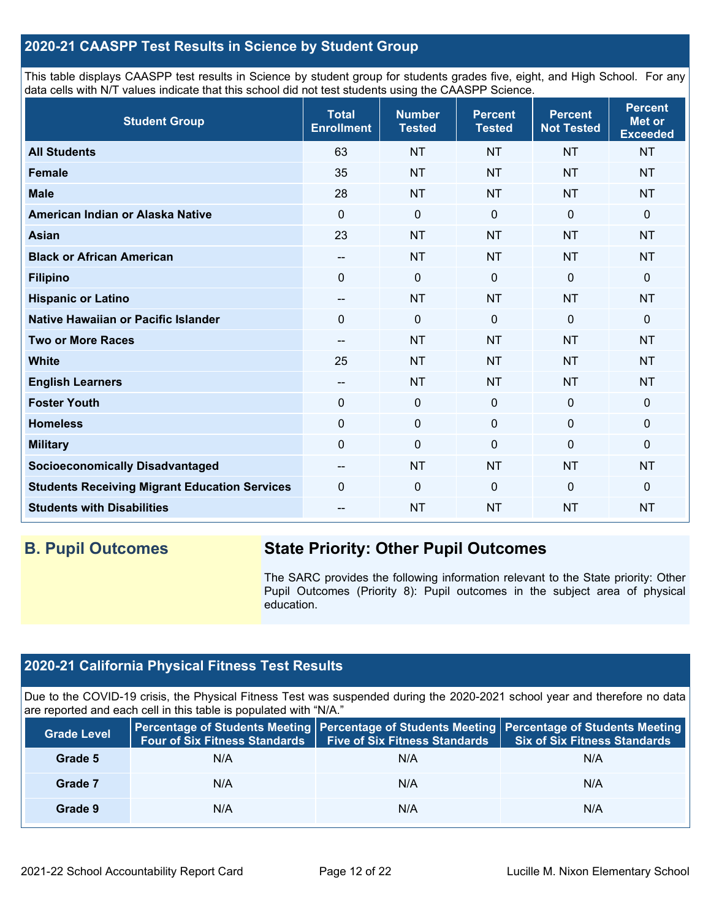### **2020-21 CAASPP Test Results in Science by Student Group**

This table displays CAASPP test results in Science by student group for students grades five, eight, and High School. For any data cells with N/T values indicate that this school did not test students using the CAASPP Science.

| <b>Student Group</b>                                 | <b>Total</b><br><b>Enrollment</b> | <b>Number</b><br><b>Tested</b> | <b>Percent</b><br><b>Tested</b> | <b>Percent</b><br><b>Not Tested</b> | <b>Percent</b><br><b>Met or</b><br><b>Exceeded</b> |
|------------------------------------------------------|-----------------------------------|--------------------------------|---------------------------------|-------------------------------------|----------------------------------------------------|
| <b>All Students</b>                                  | 63                                | <b>NT</b>                      | <b>NT</b>                       | <b>NT</b>                           | <b>NT</b>                                          |
| <b>Female</b>                                        | 35                                | <b>NT</b>                      | <b>NT</b>                       | <b>NT</b>                           | <b>NT</b>                                          |
| <b>Male</b>                                          | 28                                | <b>NT</b>                      | <b>NT</b>                       | <b>NT</b>                           | <b>NT</b>                                          |
| American Indian or Alaska Native                     | $\Omega$                          | $\mathbf 0$                    | $\mathbf 0$                     | $\mathbf 0$                         | 0                                                  |
| <b>Asian</b>                                         | 23                                | <b>NT</b>                      | <b>NT</b>                       | <b>NT</b>                           | <b>NT</b>                                          |
| <b>Black or African American</b>                     | $\qquad \qquad -$                 | <b>NT</b>                      | <b>NT</b>                       | <b>NT</b>                           | <b>NT</b>                                          |
| <b>Filipino</b>                                      | $\Omega$                          | $\pmb{0}$                      | $\mathbf 0$                     | $\Omega$                            | 0                                                  |
| <b>Hispanic or Latino</b>                            | $\overline{\phantom{a}}$          | <b>NT</b>                      | <b>NT</b>                       | <b>NT</b>                           | <b>NT</b>                                          |
| Native Hawaiian or Pacific Islander                  | $\mathbf 0$                       | $\mathbf 0$                    | $\mathbf{0}$                    | $\overline{0}$                      | 0                                                  |
| <b>Two or More Races</b>                             | $-$                               | <b>NT</b>                      | <b>NT</b>                       | <b>NT</b>                           | <b>NT</b>                                          |
| <b>White</b>                                         | 25                                | <b>NT</b>                      | <b>NT</b>                       | <b>NT</b>                           | <b>NT</b>                                          |
| <b>English Learners</b>                              | $\qquad \qquad -$                 | <b>NT</b>                      | <b>NT</b>                       | <b>NT</b>                           | <b>NT</b>                                          |
| <b>Foster Youth</b>                                  | $\mathbf 0$                       | $\mathbf 0$                    | $\mathbf 0$                     | $\mathbf 0$                         | 0                                                  |
| <b>Homeless</b>                                      | $\pmb{0}$                         | $\pmb{0}$                      | $\mathbf 0$                     | $\mathbf 0$                         | 0                                                  |
| <b>Military</b>                                      | $\mathbf 0$                       | $\pmb{0}$                      | $\Omega$                        | $\Omega$                            | 0                                                  |
| <b>Socioeconomically Disadvantaged</b>               | $\overline{\phantom{a}}$          | <b>NT</b>                      | <b>NT</b>                       | <b>NT</b>                           | <b>NT</b>                                          |
| <b>Students Receiving Migrant Education Services</b> | $\mathbf 0$                       | $\mathbf 0$                    | $\mathbf 0$                     | $\overline{0}$                      | 0                                                  |
| <b>Students with Disabilities</b>                    | --                                | <b>NT</b>                      | <b>NT</b>                       | <b>NT</b>                           | <b>NT</b>                                          |

## **B. Pupil Outcomes State Priority: Other Pupil Outcomes**

The SARC provides the following information relevant to the State priority: Other Pupil Outcomes (Priority 8): Pupil outcomes in the subject area of physical education.

## **2020-21 California Physical Fitness Test Results**

Due to the COVID-19 crisis, the Physical Fitness Test was suspended during the 2020-2021 school year and therefore no data are reported and each cell in this table is populated with "N/A."

| <b>Grade Level</b> | <b>Four of Six Fitness Standards</b> | <b>Five of Six Fitness Standards</b> | Percentage of Students Meeting   Percentage of Students Meeting   Percentage of Students Meeting<br><b>Six of Six Fitness Standards</b> |
|--------------------|--------------------------------------|--------------------------------------|-----------------------------------------------------------------------------------------------------------------------------------------|
| Grade 5            | N/A                                  | N/A                                  | N/A                                                                                                                                     |
| Grade 7            | N/A                                  | N/A                                  | N/A                                                                                                                                     |
| Grade 9            | N/A                                  | N/A                                  | N/A                                                                                                                                     |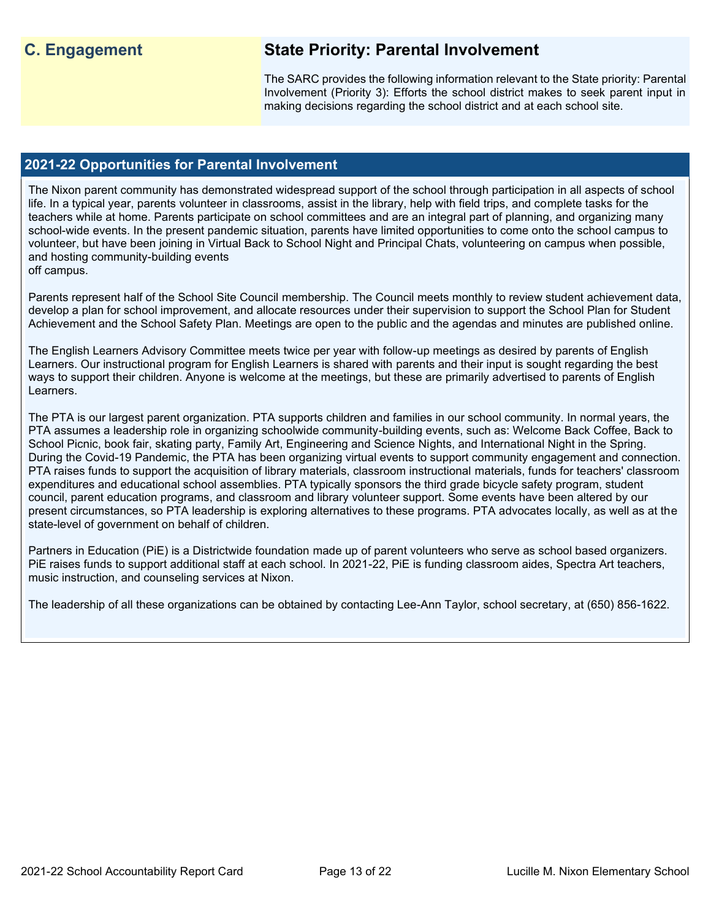## **C. Engagement State Priority: Parental Involvement**

The SARC provides the following information relevant to the State priority: Parental Involvement (Priority 3): Efforts the school district makes to seek parent input in making decisions regarding the school district and at each school site.

### **2021-22 Opportunities for Parental Involvement**

The Nixon parent community has demonstrated widespread support of the school through participation in all aspects of school life. In a typical year, parents volunteer in classrooms, assist in the library, help with field trips, and complete tasks for the teachers while at home. Parents participate on school committees and are an integral part of planning, and organizing many school-wide events. In the present pandemic situation, parents have limited opportunities to come onto the school campus to volunteer, but have been joining in Virtual Back to School Night and Principal Chats, volunteering on campus when possible, and hosting community-building events off campus.

Parents represent half of the School Site Council membership. The Council meets monthly to review student achievement data, develop a plan for school improvement, and allocate resources under their supervision to support the School Plan for Student Achievement and the School Safety Plan. Meetings are open to the public and the agendas and minutes are published online.

The English Learners Advisory Committee meets twice per year with follow-up meetings as desired by parents of English Learners. Our instructional program for English Learners is shared with parents and their input is sought regarding the best ways to support their children. Anyone is welcome at the meetings, but these are primarily advertised to parents of English Learners.

The PTA is our largest parent organization. PTA supports children and families in our school community. In normal years, the PTA assumes a leadership role in organizing schoolwide community-building events, such as: Welcome Back Coffee, Back to School Picnic, book fair, skating party, Family Art, Engineering and Science Nights, and International Night in the Spring. During the Covid-19 Pandemic, the PTA has been organizing virtual events to support community engagement and connection. PTA raises funds to support the acquisition of library materials, classroom instructional materials, funds for teachers' classroom expenditures and educational school assemblies. PTA typically sponsors the third grade bicycle safety program, student council, parent education programs, and classroom and library volunteer support. Some events have been altered by our present circumstances, so PTA leadership is exploring alternatives to these programs. PTA advocates locally, as well as at the state-level of government on behalf of children.

Partners in Education (PiE) is a Districtwide foundation made up of parent volunteers who serve as school based organizers. PiE raises funds to support additional staff at each school. In 2021-22, PiE is funding classroom aides, Spectra Art teachers, music instruction, and counseling services at Nixon.

The leadership of all these organizations can be obtained by contacting Lee-Ann Taylor, school secretary, at (650) 856-1622.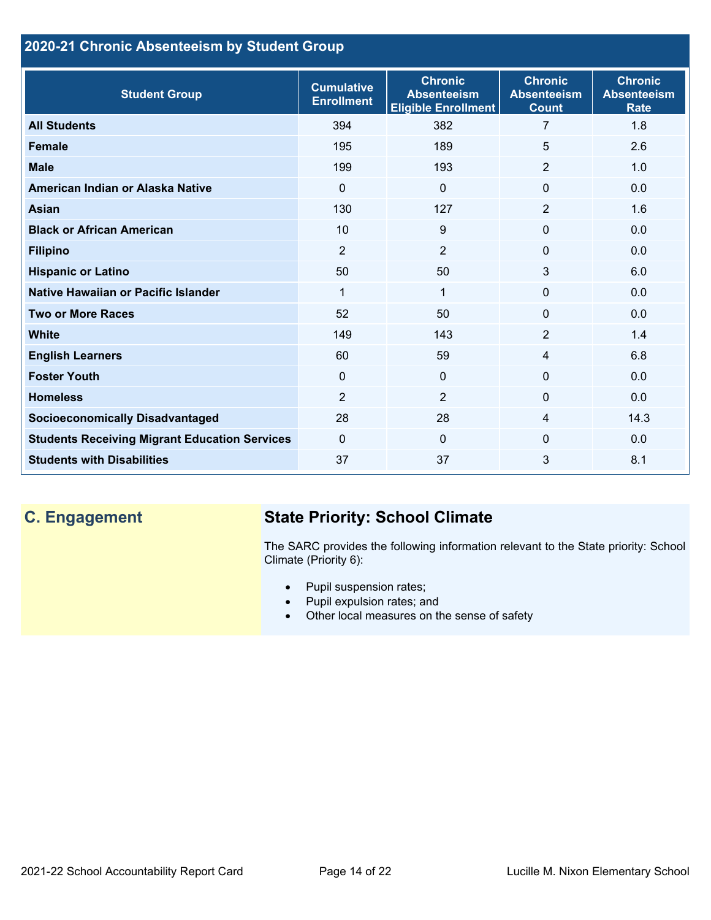## **2020-21 Chronic Absenteeism by Student Group**

| <b>Student Group</b>                                 | <b>Cumulative</b><br><b>Enrollment</b> | <b>Chronic</b><br><b>Absenteeism</b><br><b>Eligible Enrollment</b> | <b>Chronic</b><br><b>Absenteeism</b><br><b>Count</b> | <b>Chronic</b><br><b>Absenteeism</b><br><b>Rate</b> |
|------------------------------------------------------|----------------------------------------|--------------------------------------------------------------------|------------------------------------------------------|-----------------------------------------------------|
| <b>All Students</b>                                  | 394                                    | 382                                                                | $\overline{7}$                                       | 1.8                                                 |
| <b>Female</b>                                        | 195                                    | 189                                                                | 5                                                    | 2.6                                                 |
| <b>Male</b>                                          | 199                                    | 193                                                                | $\overline{2}$                                       | 1.0                                                 |
| American Indian or Alaska Native                     | $\Omega$                               | $\Omega$                                                           | $\Omega$                                             | 0.0                                                 |
| <b>Asian</b>                                         | 130                                    | 127                                                                | 2                                                    | 1.6                                                 |
| <b>Black or African American</b>                     | 10                                     | 9                                                                  | $\mathbf{0}$                                         | 0.0                                                 |
| <b>Filipino</b>                                      | $\overline{2}$                         | $\overline{2}$                                                     | $\mathbf{0}$                                         | 0.0                                                 |
| <b>Hispanic or Latino</b>                            | 50                                     | 50                                                                 | 3                                                    | 6.0                                                 |
| Native Hawaiian or Pacific Islander                  | 1                                      | $\mathbf{1}$                                                       | 0                                                    | 0.0                                                 |
| <b>Two or More Races</b>                             | 52                                     | 50 <sub>2</sub>                                                    | $\Omega$                                             | 0.0                                                 |
| <b>White</b>                                         | 149                                    | 143                                                                | 2                                                    | 1.4                                                 |
| <b>English Learners</b>                              | 60                                     | 59                                                                 | $\overline{4}$                                       | 6.8                                                 |
| <b>Foster Youth</b>                                  | $\Omega$                               | $\mathbf{0}$                                                       | $\Omega$                                             | 0.0                                                 |
| <b>Homeless</b>                                      | $\overline{2}$                         | $\overline{2}$                                                     | $\Omega$                                             | 0.0                                                 |
| <b>Socioeconomically Disadvantaged</b>               | 28                                     | 28                                                                 | 4                                                    | 14.3                                                |
| <b>Students Receiving Migrant Education Services</b> | $\Omega$                               | $\Omega$                                                           | $\Omega$                                             | 0.0                                                 |
| <b>Students with Disabilities</b>                    | 37                                     | 37                                                                 | 3                                                    | 8.1                                                 |

## **C. Engagement State Priority: School Climate**

The SARC provides the following information relevant to the State priority: School Climate (Priority 6):

- Pupil suspension rates;
- Pupil expulsion rates; and
- Other local measures on the sense of safety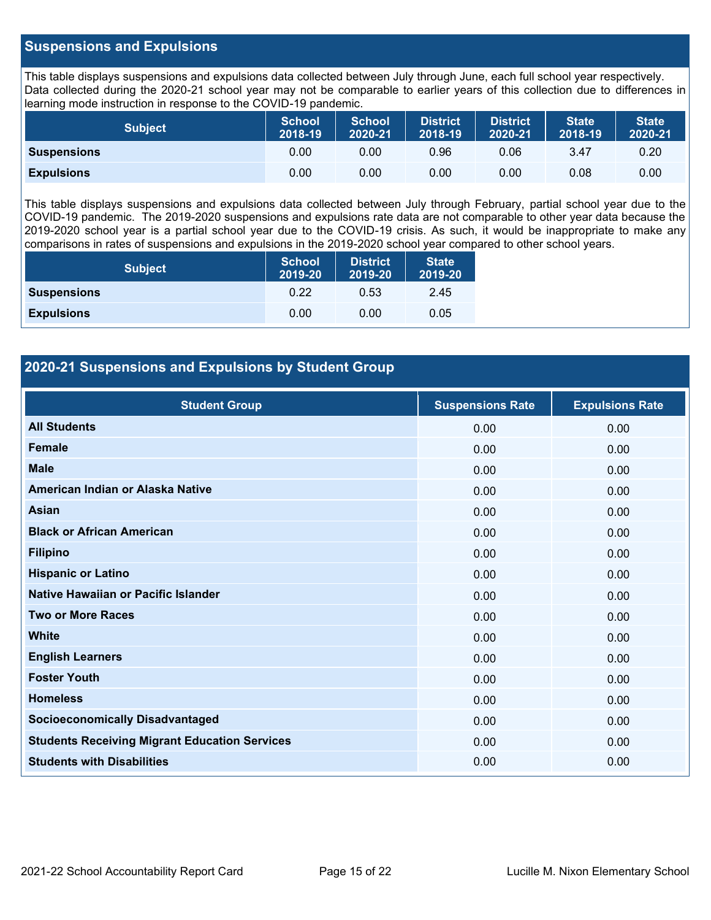### **Suspensions and Expulsions**

This table displays suspensions and expulsions data collected between July through June, each full school year respectively. Data collected during the 2020-21 school year may not be comparable to earlier years of this collection due to differences in learning mode instruction in response to the COVID-19 pandemic.

| <b>Subject</b>     | <b>School</b><br>2018-19 | <b>School</b><br>2020-21 | <b>District</b><br>2018-19 | <b>District</b><br>2020-21 | <b>State</b><br>2018-19 | <b>State</b><br>2020-21 |
|--------------------|--------------------------|--------------------------|----------------------------|----------------------------|-------------------------|-------------------------|
| <b>Suspensions</b> | 0.00                     | 0.00                     | 0.96                       | 0.06                       | 3.47                    | 0.20                    |
| <b>Expulsions</b>  | 0.00                     | 0.00                     | 0.00                       | 0.00                       | 0.08                    | 0.00                    |

This table displays suspensions and expulsions data collected between July through February, partial school year due to the COVID-19 pandemic. The 2019-2020 suspensions and expulsions rate data are not comparable to other year data because the 2019-2020 school year is a partial school year due to the COVID-19 crisis. As such, it would be inappropriate to make any comparisons in rates of suspensions and expulsions in the 2019-2020 school year compared to other school years.

| <b>Subject</b>     | <b>School</b><br>2019-20 | <b>District</b><br>2019-20 | <b>State</b><br>2019-20 |
|--------------------|--------------------------|----------------------------|-------------------------|
| <b>Suspensions</b> | 0.22                     | 0.53                       | 2.45                    |
| <b>Expulsions</b>  | 0.00                     | 0.00                       | 0.05                    |

### **2020-21 Suspensions and Expulsions by Student Group**

| <b>Student Group</b>                                 | <b>Suspensions Rate</b> | <b>Expulsions Rate</b> |
|------------------------------------------------------|-------------------------|------------------------|
| <b>All Students</b>                                  | 0.00                    | 0.00                   |
| <b>Female</b>                                        | 0.00                    | 0.00                   |
| <b>Male</b>                                          | 0.00                    | 0.00                   |
| American Indian or Alaska Native                     | 0.00                    | 0.00                   |
| <b>Asian</b>                                         | 0.00                    | 0.00                   |
| <b>Black or African American</b>                     | 0.00                    | 0.00                   |
| <b>Filipino</b>                                      | 0.00                    | 0.00                   |
| <b>Hispanic or Latino</b>                            | 0.00                    | 0.00                   |
| Native Hawaiian or Pacific Islander                  | 0.00                    | 0.00                   |
| <b>Two or More Races</b>                             | 0.00                    | 0.00                   |
| <b>White</b>                                         | 0.00                    | 0.00                   |
| <b>English Learners</b>                              | 0.00                    | 0.00                   |
| <b>Foster Youth</b>                                  | 0.00                    | 0.00                   |
| <b>Homeless</b>                                      | 0.00                    | 0.00                   |
| <b>Socioeconomically Disadvantaged</b>               | 0.00                    | 0.00                   |
| <b>Students Receiving Migrant Education Services</b> | 0.00                    | 0.00                   |
| <b>Students with Disabilities</b>                    | 0.00                    | 0.00                   |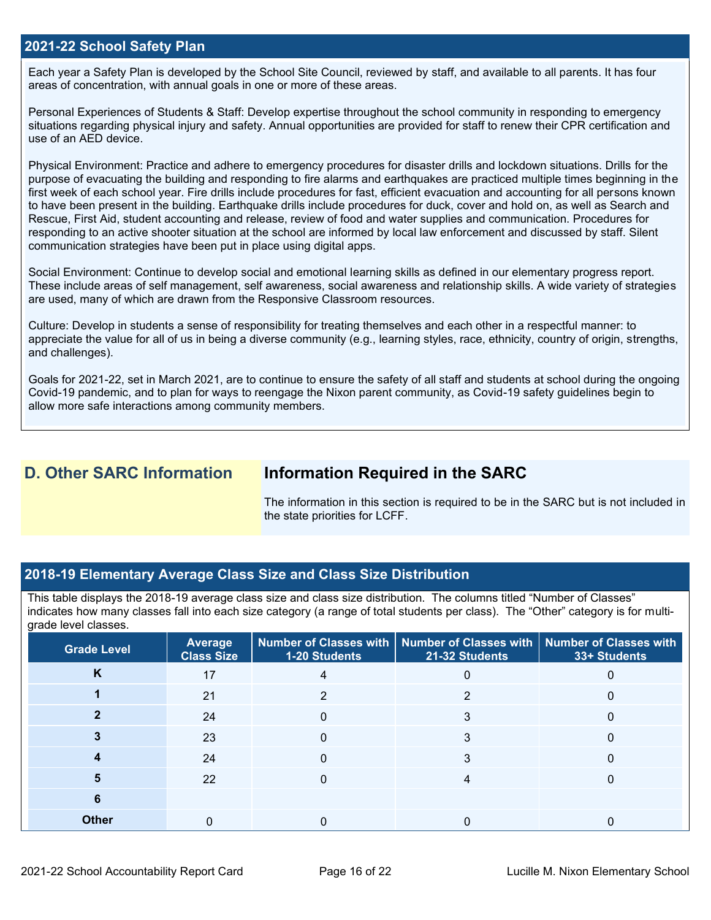### **2021-22 School Safety Plan**

Each year a Safety Plan is developed by the School Site Council, reviewed by staff, and available to all parents. It has four areas of concentration, with annual goals in one or more of these areas.

Personal Experiences of Students & Staff: Develop expertise throughout the school community in responding to emergency situations regarding physical injury and safety. Annual opportunities are provided for staff to renew their CPR certification and use of an AED device.

Physical Environment: Practice and adhere to emergency procedures for disaster drills and lockdown situations. Drills for the purpose of evacuating the building and responding to fire alarms and earthquakes are practiced multiple times beginning in the first week of each school year. Fire drills include procedures for fast, efficient evacuation and accounting for all persons known to have been present in the building. Earthquake drills include procedures for duck, cover and hold on, as well as Search and Rescue, First Aid, student accounting and release, review of food and water supplies and communication. Procedures for responding to an active shooter situation at the school are informed by local law enforcement and discussed by staff. Silent communication strategies have been put in place using digital apps.

Social Environment: Continue to develop social and emotional learning skills as defined in our elementary progress report. These include areas of self management, self awareness, social awareness and relationship skills. A wide variety of strategies are used, many of which are drawn from the Responsive Classroom resources.

Culture: Develop in students a sense of responsibility for treating themselves and each other in a respectful manner: to appreciate the value for all of us in being a diverse community (e.g., learning styles, race, ethnicity, country of origin, strengths, and challenges).

Goals for 2021-22, set in March 2021, are to continue to ensure the safety of all staff and students at school during the ongoing Covid-19 pandemic, and to plan for ways to reengage the Nixon parent community, as Covid-19 safety guidelines begin to allow more safe interactions among community members.

## **D. Other SARC Information Information Required in the SARC**

The information in this section is required to be in the SARC but is not included in the state priorities for LCFF.

### **2018-19 Elementary Average Class Size and Class Size Distribution**

This table displays the 2018-19 average class size and class size distribution. The columns titled "Number of Classes" indicates how many classes fall into each size category (a range of total students per class). The "Other" category is for multigrade level classes.

| <b>Grade Level</b> | <b>Average</b><br><b>Class Size</b> | 1-20 Students | Number of Classes with   Number of Classes with   Number of Classes with<br>21-32 Students | 33+ Students |
|--------------------|-------------------------------------|---------------|--------------------------------------------------------------------------------------------|--------------|
| K                  | 17                                  |               |                                                                                            |              |
|                    | 21                                  | っ             | ∩                                                                                          |              |
|                    | 24                                  |               | 3                                                                                          |              |
|                    | 23                                  |               |                                                                                            |              |
|                    | 24                                  |               |                                                                                            |              |
|                    | 22                                  |               |                                                                                            |              |
|                    |                                     |               |                                                                                            |              |
| <b>Other</b>       |                                     |               |                                                                                            |              |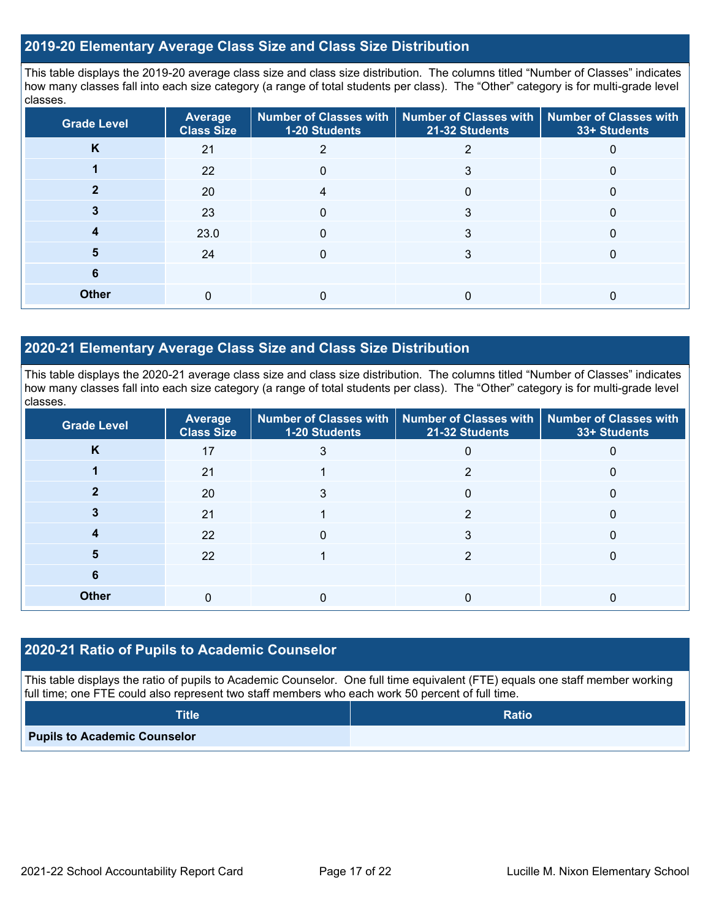### **2019-20 Elementary Average Class Size and Class Size Distribution**

This table displays the 2019-20 average class size and class size distribution. The columns titled "Number of Classes" indicates how many classes fall into each size category (a range of total students per class). The "Other" category is for multi-grade level classes.

| <b>Grade Level</b> | Average<br><b>Class Size</b> | 1-20 Students | Number of Classes with   Number of Classes with   Number of Classes with<br>21-32 Students | 33+ Students |
|--------------------|------------------------------|---------------|--------------------------------------------------------------------------------------------|--------------|
| K                  | 21                           |               |                                                                                            |              |
|                    | 22                           | 0             | 3                                                                                          |              |
|                    | 20                           |               |                                                                                            |              |
|                    | 23                           | $\Omega$      | 3                                                                                          |              |
|                    | 23.0                         | 0             | 3                                                                                          |              |
| 5                  | 24                           | O             | 3                                                                                          |              |
| 6                  |                              |               |                                                                                            |              |
| <b>Other</b>       | $\Omega$                     |               |                                                                                            |              |

### **2020-21 Elementary Average Class Size and Class Size Distribution**

This table displays the 2020-21 average class size and class size distribution. The columns titled "Number of Classes" indicates how many classes fall into each size category (a range of total students per class). The "Other" category is for multi-grade level classes.

| <b>Grade Level</b> | Average<br><b>Class Size</b> | 1-20 Students | Number of Classes with   Number of Classes with   Number of Classes with<br>21-32 Students | 33+ Students |
|--------------------|------------------------------|---------------|--------------------------------------------------------------------------------------------|--------------|
| ĸ                  | 17                           | 3             | 0                                                                                          | $\Omega$     |
|                    | 21                           |               | っ                                                                                          | 0            |
|                    | 20                           |               |                                                                                            |              |
|                    | 21                           |               | っ                                                                                          |              |
|                    | 22                           | 0             | 3                                                                                          | $\mathbf{0}$ |
| 5                  | 22                           |               | っ                                                                                          |              |
| 6                  |                              |               |                                                                                            |              |
| <b>Other</b>       | $\Omega$                     |               |                                                                                            |              |

### **2020-21 Ratio of Pupils to Academic Counselor**

This table displays the ratio of pupils to Academic Counselor. One full time equivalent (FTE) equals one staff member working full time; one FTE could also represent two staff members who each work 50 percent of full time.

| <b>Title</b>                        | <b>Ratio</b> |
|-------------------------------------|--------------|
| <b>Pupils to Academic Counselor</b> |              |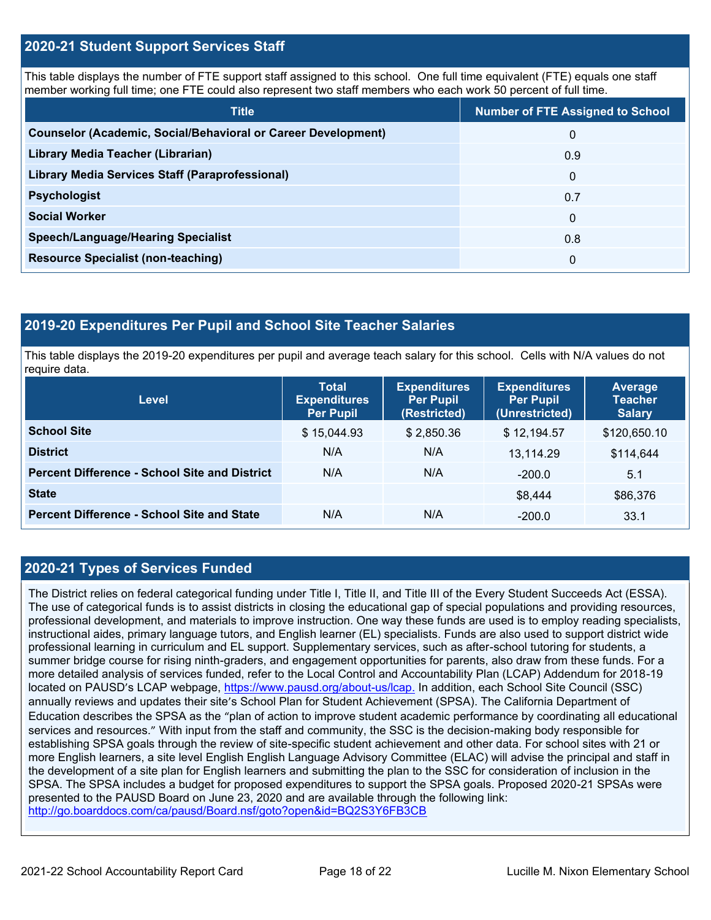### **2020-21 Student Support Services Staff**

This table displays the number of FTE support staff assigned to this school. One full time equivalent (FTE) equals one staff member working full time; one FTE could also represent two staff members who each work 50 percent of full time.

| <b>Title</b>                                                         | <b>Number of FTE Assigned to School</b> |
|----------------------------------------------------------------------|-----------------------------------------|
| <b>Counselor (Academic, Social/Behavioral or Career Development)</b> | $\mathbf{0}$                            |
| Library Media Teacher (Librarian)                                    | 0.9                                     |
| <b>Library Media Services Staff (Paraprofessional)</b>               | 0                                       |
| <b>Psychologist</b>                                                  | 0.7                                     |
| <b>Social Worker</b>                                                 | $\Omega$                                |
| <b>Speech/Language/Hearing Specialist</b>                            | 0.8                                     |
| <b>Resource Specialist (non-teaching)</b>                            | $\mathbf{0}$                            |

### **2019-20 Expenditures Per Pupil and School Site Teacher Salaries**

This table displays the 2019-20 expenditures per pupil and average teach salary for this school. Cells with N/A values do not require data.

| Level                                                | <b>Total</b><br><b>Expenditures</b><br><b>Per Pupil</b> | <b>Expenditures</b><br><b>Per Pupil</b><br>(Restricted) | <b>Expenditures</b><br><b>Per Pupil</b><br>(Unrestricted) | <b>Average</b><br><b>Teacher</b><br><b>Salary</b> |
|------------------------------------------------------|---------------------------------------------------------|---------------------------------------------------------|-----------------------------------------------------------|---------------------------------------------------|
| <b>School Site</b>                                   | \$15,044.93                                             | \$2,850.36                                              | \$12,194.57                                               | \$120,650.10                                      |
| <b>District</b>                                      | N/A                                                     | N/A                                                     | 13.114.29                                                 | \$114,644                                         |
| <b>Percent Difference - School Site and District</b> | N/A                                                     | N/A                                                     | $-200.0$                                                  | 5.1                                               |
| <b>State</b>                                         |                                                         |                                                         | \$8,444                                                   | \$86,376                                          |
| <b>Percent Difference - School Site and State</b>    | N/A                                                     | N/A                                                     | $-200.0$                                                  | 33.1                                              |

### **2020-21 Types of Services Funded**

The District relies on federal categorical funding under Title I, Title II, and Title III of the Every Student Succeeds Act (ESSA). The use of categorical funds is to assist districts in closing the educational gap of special populations and providing resources, professional development, and materials to improve instruction. One way these funds are used is to employ reading specialists, instructional aides, primary language tutors, and English learner (EL) specialists. Funds are also used to support district wide professional learning in curriculum and EL support. Supplementary services, such as after-school tutoring for students, a summer bridge course for rising ninth-graders, and engagement opportunities for parents, also draw from these funds. For a more detailed analysis of services funded, refer to the Local Control and Accountability Plan (LCAP) Addendum for 2018-19 located on PAUSD's LCAP webpage,<https://www.pausd.org/about-us/lcap.> In addition, each School Site Council (SSC) annually reviews and updates their site's School Plan for Student Achievement (SPSA). The California Department of Education describes the SPSA as the "plan of action to improve student academic performance by coordinating all educational services and resources." With input from the staff and community, the SSC is the decision-making body responsible for establishing SPSA goals through the review of site-specific student achievement and other data. For school sites with 21 or more English learners, a site level English English Language Advisory Committee (ELAC) will advise the principal and staff in the development of a site plan for English learners and submitting the plan to the SSC for consideration of inclusion in the SPSA. The SPSA includes a budget for proposed expenditures to support the SPSA goals. Proposed 2020-21 SPSAs were presented to the PAUSD Board on June 23, 2020 and are available through the following link: <http://go.boarddocs.com/ca/pausd/Board.nsf/goto?open&id=BQ2S3Y6FB3CB>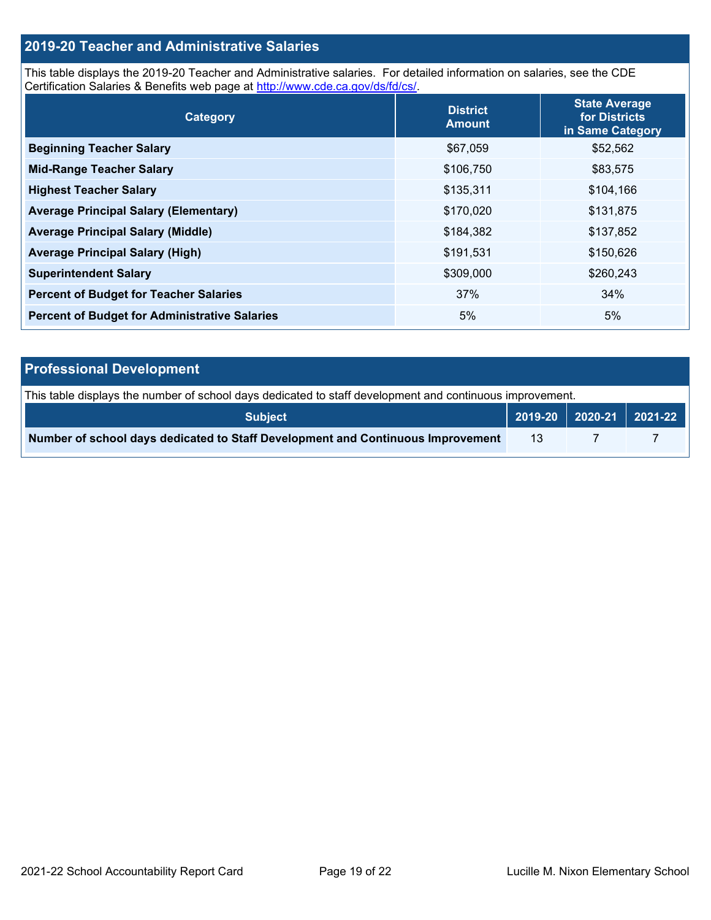### **2019-20 Teacher and Administrative Salaries**

This table displays the 2019-20 Teacher and Administrative salaries. For detailed information on salaries, see the CDE Certification Salaries & Benefits web page at [http://www.cde.ca.gov/ds/fd/cs/.](http://www.cde.ca.gov/ds/fd/cs/)

| Category                                             | <b>District</b><br><b>Amount</b> | <b>State Average</b><br>for Districts<br>in Same Category |
|------------------------------------------------------|----------------------------------|-----------------------------------------------------------|
| <b>Beginning Teacher Salary</b>                      | \$67,059                         | \$52,562                                                  |
| <b>Mid-Range Teacher Salary</b>                      | \$106,750                        | \$83,575                                                  |
| <b>Highest Teacher Salary</b>                        | \$135,311                        | \$104,166                                                 |
| <b>Average Principal Salary (Elementary)</b>         | \$170,020                        | \$131,875                                                 |
| <b>Average Principal Salary (Middle)</b>             | \$184,382                        | \$137,852                                                 |
| <b>Average Principal Salary (High)</b>               | \$191,531                        | \$150,626                                                 |
| <b>Superintendent Salary</b>                         | \$309,000                        | \$260,243                                                 |
| <b>Percent of Budget for Teacher Salaries</b>        | 37%                              | 34%                                                       |
| <b>Percent of Budget for Administrative Salaries</b> | 5%                               | 5%                                                        |

| <b>Professional Development</b>                                                                          |    |  |                                                                                        |  |  |
|----------------------------------------------------------------------------------------------------------|----|--|----------------------------------------------------------------------------------------|--|--|
| This table displays the number of school days dedicated to staff development and continuous improvement. |    |  |                                                                                        |  |  |
| <b>Subject</b>                                                                                           |    |  | $\begin{array}{ c c c c c c c c c }\n\hline\n2019-20 & 2020-21 & 2021-22\n\end{array}$ |  |  |
| Number of school days dedicated to Staff Development and Continuous Improvement                          | 13 |  |                                                                                        |  |  |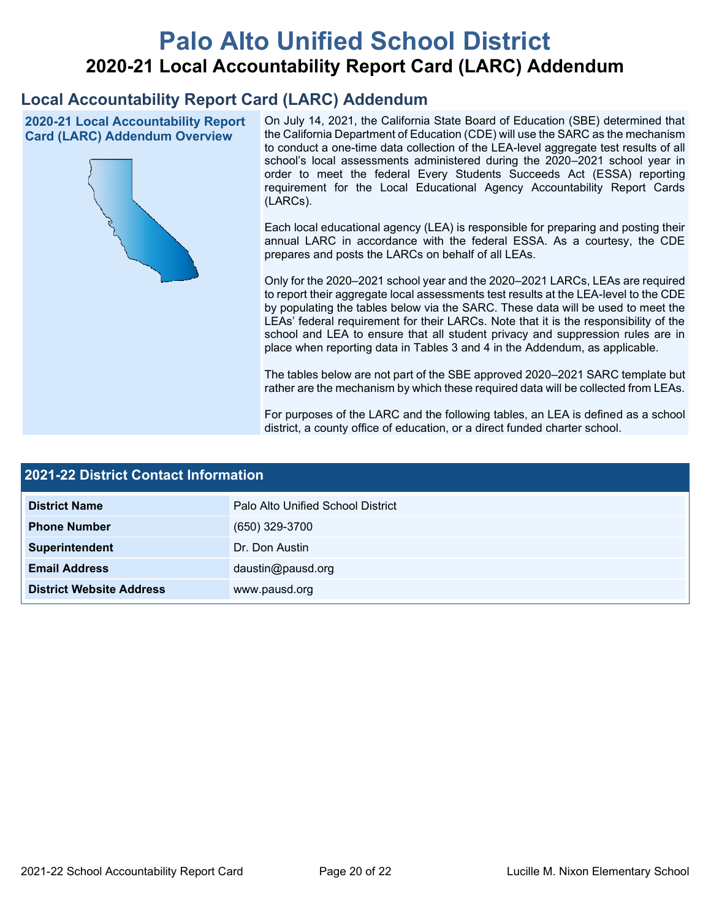# **Palo Alto Unified School District 2020-21 Local Accountability Report Card (LARC) Addendum**

## **Local Accountability Report Card (LARC) Addendum**

**2020-21 Local Accountability Report Card (LARC) Addendum Overview**



On July 14, 2021, the California State Board of Education (SBE) determined that the California Department of Education (CDE) will use the SARC as the mechanism to conduct a one-time data collection of the LEA-level aggregate test results of all school's local assessments administered during the 2020–2021 school year in order to meet the federal Every Students Succeeds Act (ESSA) reporting requirement for the Local Educational Agency Accountability Report Cards (LARCs).

Each local educational agency (LEA) is responsible for preparing and posting their annual LARC in accordance with the federal ESSA. As a courtesy, the CDE prepares and posts the LARCs on behalf of all LEAs.

Only for the 2020–2021 school year and the 2020–2021 LARCs, LEAs are required to report their aggregate local assessments test results at the LEA-level to the CDE by populating the tables below via the SARC. These data will be used to meet the LEAs' federal requirement for their LARCs. Note that it is the responsibility of the school and LEA to ensure that all student privacy and suppression rules are in place when reporting data in Tables 3 and 4 in the Addendum, as applicable.

The tables below are not part of the SBE approved 2020–2021 SARC template but rather are the mechanism by which these required data will be collected from LEAs.

For purposes of the LARC and the following tables, an LEA is defined as a school district, a county office of education, or a direct funded charter school.

| <b>2021-22 District Contact Information</b> |                                   |  |  |  |
|---------------------------------------------|-----------------------------------|--|--|--|
| <b>District Name</b>                        | Palo Alto Unified School District |  |  |  |
| <b>Phone Number</b>                         | (650) 329-3700                    |  |  |  |
| Superintendent                              | Dr. Don Austin                    |  |  |  |
| <b>Email Address</b>                        | daustin@pausd.org                 |  |  |  |
| <b>District Website Address</b>             | www.pausd.org                     |  |  |  |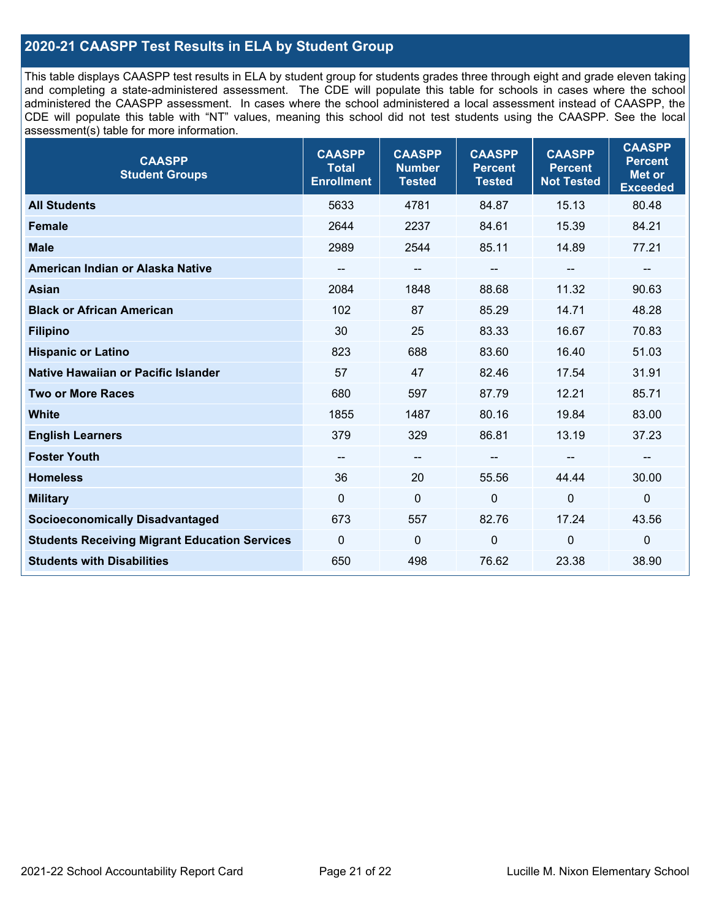### **2020-21 CAASPP Test Results in ELA by Student Group**

This table displays CAASPP test results in ELA by student group for students grades three through eight and grade eleven taking and completing a state-administered assessment. The CDE will populate this table for schools in cases where the school administered the CAASPP assessment. In cases where the school administered a local assessment instead of CAASPP, the CDE will populate this table with "NT" values, meaning this school did not test students using the CAASPP. See the local assessment(s) table for more information.

| <b>CAASPP</b><br><b>Student Groups</b>               | <b>CAASPP</b><br><b>Total</b><br><b>Enrollment</b> | <b>CAASPP</b><br><b>Number</b><br><b>Tested</b> | <b>CAASPP</b><br><b>Percent</b><br><b>Tested</b> | <b>CAASPP</b><br><b>Percent</b><br><b>Not Tested</b> | <b>CAASPP</b><br><b>Percent</b><br>Met or<br><b>Exceeded</b> |
|------------------------------------------------------|----------------------------------------------------|-------------------------------------------------|--------------------------------------------------|------------------------------------------------------|--------------------------------------------------------------|
| <b>All Students</b>                                  | 5633                                               | 4781                                            | 84.87                                            | 15.13                                                | 80.48                                                        |
| <b>Female</b>                                        | 2644                                               | 2237                                            | 84.61                                            | 15.39                                                | 84.21                                                        |
| <b>Male</b>                                          | 2989                                               | 2544                                            | 85.11                                            | 14.89                                                | 77.21                                                        |
| American Indian or Alaska Native                     | --                                                 | $\overline{\phantom{m}}$                        | --                                               | $\overline{\phantom{a}}$                             | --                                                           |
| <b>Asian</b>                                         | 2084                                               | 1848                                            | 88.68                                            | 11.32                                                | 90.63                                                        |
| <b>Black or African American</b>                     | 102                                                | 87                                              | 85.29                                            | 14.71                                                | 48.28                                                        |
| <b>Filipino</b>                                      | 30                                                 | 25                                              | 83.33                                            | 16.67                                                | 70.83                                                        |
| <b>Hispanic or Latino</b>                            | 823                                                | 688                                             | 83.60                                            | 16.40                                                | 51.03                                                        |
| Native Hawaiian or Pacific Islander                  | 57                                                 | 47                                              | 82.46                                            | 17.54                                                | 31.91                                                        |
| <b>Two or More Races</b>                             | 680                                                | 597                                             | 87.79                                            | 12.21                                                | 85.71                                                        |
| <b>White</b>                                         | 1855                                               | 1487                                            | 80.16                                            | 19.84                                                | 83.00                                                        |
| <b>English Learners</b>                              | 379                                                | 329                                             | 86.81                                            | 13.19                                                | 37.23                                                        |
| <b>Foster Youth</b>                                  | $\qquad \qquad -$                                  | $\overline{\phantom{a}}$                        | --                                               |                                                      | --                                                           |
| <b>Homeless</b>                                      | 36                                                 | 20                                              | 55.56                                            | 44.44                                                | 30.00                                                        |
| <b>Military</b>                                      | $\mathbf 0$                                        | $\mathbf 0$                                     | $\mathbf 0$                                      | $\overline{0}$                                       | $\mathbf 0$                                                  |
| <b>Socioeconomically Disadvantaged</b>               | 673                                                | 557                                             | 82.76                                            | 17.24                                                | 43.56                                                        |
| <b>Students Receiving Migrant Education Services</b> | 0                                                  | $\mathbf 0$                                     | $\mathbf 0$                                      | $\mathbf 0$                                          | 0                                                            |
| <b>Students with Disabilities</b>                    | 650                                                | 498                                             | 76.62                                            | 23.38                                                | 38.90                                                        |